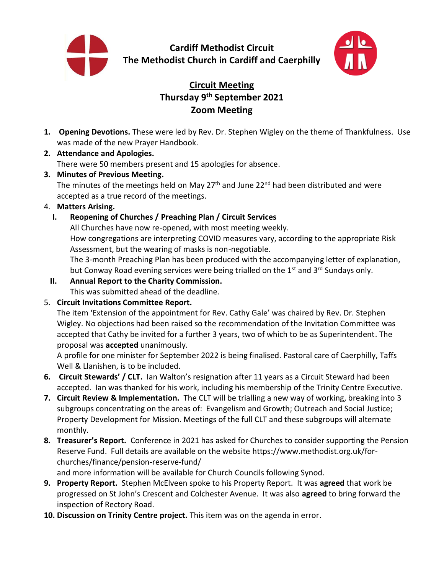

**Cardiff Methodist Circuit The Methodist Church in Cardiff and Caerphilly**



# **Circuit Meeting Thursday 9 th September 2021 Zoom Meeting**

- **1. Opening Devotions.** These were led by Rev. Dr. Stephen Wigley on the theme of Thankfulness. Use was made of the new Prayer Handbook.
- **2. Attendance and Apologies.**  There were 50 members present and 15 apologies for absence.
- **3. Minutes of Previous Meeting.**  The minutes of the meetings held on May  $27<sup>th</sup>$  and June  $22<sup>nd</sup>$  had been distributed and were accepted as a true record of the meetings.

## 4. **Matters Arising.**

## **I. Reopening of Churches / Preaching Plan / Circuit Services**

All Churches have now re-opened, with most meeting weekly. How congregations are interpreting COVID measures vary, according to the appropriate Risk Assessment, but the wearing of masks is non-negotiable. The 3-month Preaching Plan has been produced with the accompanying letter of explanation, but Conway Road evening services were being trialled on the 1<sup>st</sup> and 3<sup>rd</sup> Sundays only.

- **II. Annual Report to the Charity Commission.** This was submitted ahead of the deadline.
- 5. **Circuit Invitations Committee Report.**

The item 'Extension of the appointment for Rev. Cathy Gale' was chaired by Rev. Dr. Stephen Wigley. No objections had been raised so the recommendation of the Invitation Committee was accepted that Cathy be invited for a further 3 years, two of which to be as Superintendent. The proposal was **accepted** unanimously.

A profile for one minister for September 2022 is being finalised. Pastoral care of Caerphilly, Taffs Well & Llanishen, is to be included.

- **6. Circuit Stewards' / CLT.** Ian Walton's resignation after 11 years as a Circuit Steward had been accepted. Ian was thanked for his work, including his membership of the Trinity Centre Executive.
- **7. Circuit Review & Implementation.** The CLT will be trialling a new way of working, breaking into 3 subgroups concentrating on the areas of: Evangelism and Growth; Outreach and Social Justice; Property Development for Mission. Meetings of the full CLT and these subgroups will alternate monthly.
- **8. Treasurer's Report.** Conference in 2021 has asked for Churches to consider supporting the Pension Reserve Fund. Full details are available on the website https://www.methodist.org.uk/forchurches/finance/pension-reserve-fund/

and more information will be available for Church Councils following Synod.

- **9. Property Report.** Stephen McElveen spoke to his Property Report. It was **agreed** that work be progressed on St John's Crescent and Colchester Avenue. It was also **agreed** to bring forward the inspection of Rectory Road.
- **10. Discussion on Trinity Centre project.** This item was on the agenda in error.